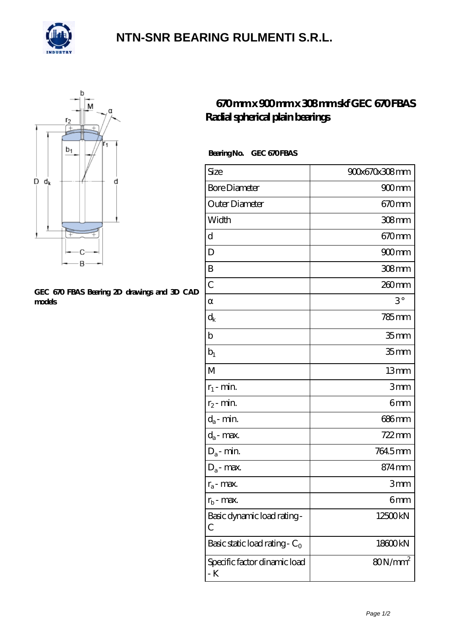

## **[NTN-SNR BEARING RULMENTI S.R.L.](https://m.confidencemenimprov.com)**



#### **[GEC 670 FBAS Bearing 2D drawings and 3D CAD](https://m.confidencemenimprov.com/pic-64975044.html) [models](https://m.confidencemenimprov.com/pic-64975044.html)**

### **[670 mm x 900 mm x 308 mm skf GEC 670 FBAS](https://m.confidencemenimprov.com/aI-64975044-skf-gec-670-fbas-radial-spherical-plain-bearings.html) [Radial spherical plain bearings](https://m.confidencemenimprov.com/aI-64975044-skf-gec-670-fbas-radial-spherical-plain-bearings.html)**

### Bearing No. GEC 670 FBAS

| Size                                | 900x670x308mm     |
|-------------------------------------|-------------------|
| <b>Bore Diameter</b>                | $900$ mm          |
| Outer Diameter                      | $670 \text{mm}$   |
| Width                               | $308$ mm          |
| d                                   | $670 \text{mm}$   |
| D                                   | $900$ mm          |
| B                                   | 308mm             |
| $\overline{C}$                      | 260mm             |
|                                     | $3^{\circ}$       |
| $\rm{d_k}$                          | $785$ mm          |
| $\mathbf b$                         | 35 <sub>mm</sub>  |
| $b_1$                               | 35 <sub>mm</sub>  |
| $\mathbf{M}$                        | 13mm              |
| $r_1$ - min.                        | 3mm               |
| $r_2$ - min.                        | 6mm               |
| $d_{\!a}\text{-}\min$               | 686mm             |
| $d_a$ - max.                        | $722$ mm          |
| $D_a$ - min.                        | 7645mm            |
| $D_a$ - max.                        | 874 <sub>mm</sub> |
| $r_a$ - max.                        | 3mm               |
| $r_{b}$ - max.                      | 6mm               |
| Basic dynamic load rating-<br>С     | 12500kN           |
| Basic static load rating - $C_0$    | 18600kN           |
| Specific factor dinamic load<br>- K | $80N/mm^2$        |